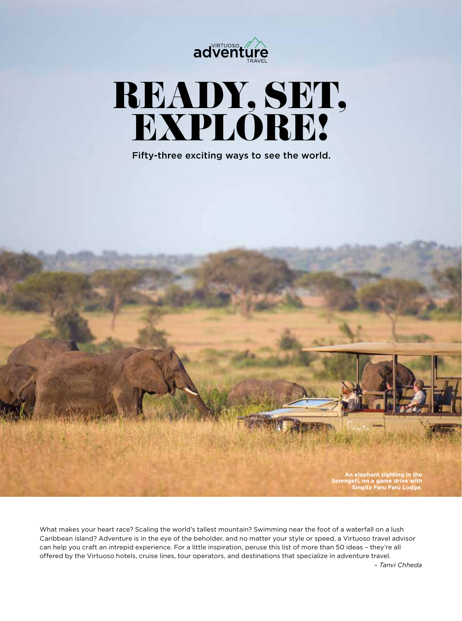

# READY, SET, EXPLORE!

Fifty-three exciting ways to see the world.

**An elephant sighting in the Serengeti, on a game drive with Singita Faru Faru Lodge.**

What makes your heart race? Scaling the world's tallest mountain? Swimming near the foot of a waterfall on a lush Caribbean island? Adventure is in the eye of the beholder, and no matter your style or speed, a Virtuoso travel advisor can help you craft an intrepid experience. For a little inspiration, peruse this list of more than 50 ideas – they're all offered by the Virtuoso hotels, cruise lines, tour operators, and destinations that specialize in adventure travel.

*– Tanvi Chheda*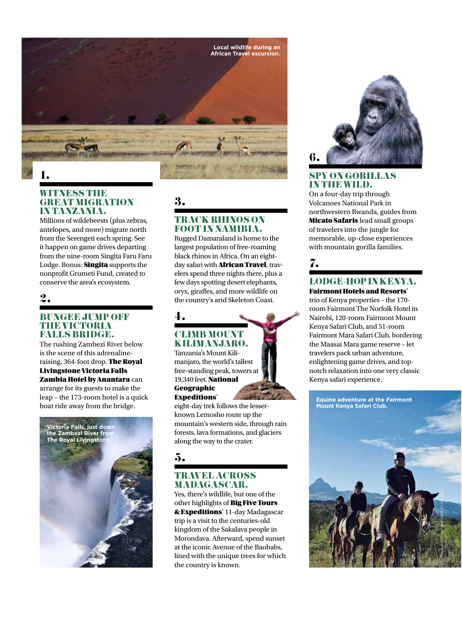

## 1.

#### WITNESS THE GREAT MIGRATION IN TANZANIA.

Millions of wildebeests (plus zebras, antelopes, and more) migrate north from the Serengeti each spring. See it happen on game drives departing from the nine-room Singita Faru Faru Lodge. Bonus: **Singita** supports the nonprofit Grumeti Fund, created to conserve the area's ecosystem.

## 2.

#### BUNGEE JUMP OFF THE VICTORIA FALLS BRIDGE.

The rushing Zambezi River below is the scene of this adrenalineraising, 364-foot drop. The Royal Livingstone Victoria Falls Zambia Hotel by Anantara can

arrange for its guests to make the leap – the 173-room hotel is a quick boat ride away from the bridge.



3.

4.

#### TRACK RHINOS ON FOOT IN NAMIBIA.

Rugged Damaraland is home to the largest population of free-roaming black rhinos in Africa. On an eightday safari with **African Travel**, travelers spend three nights there, plus a few days spotting desert elephants, oryx, giraffes, and more wildlife on the country's arid Skeleton Coast.

## CLIMB MOUNT KILIMANJARO.

Tanzania's Mount Kilimanjaro, the world's tallest free-standing peak, towers at 19,340 feet. National Geographic Expeditions'

eight-day trek follows the lesserknown Lemosho route up the mountain's western side, through rain forests, lava formations, and glaciers along the way to the crater.

## 5.

#### TRAVEL ACROSS MADAGASCAR.

Yes, there's wildlife, but one of the other highlights of Big Five Tours & Expeditions' 11-day Madagascar trip is a visit to the centuries-old kingdom of the Sakalava people in Morondava. Afterward, spend sunset at the iconic Avenue of the Baobabs, lined with the unique trees for which the country is known.



#### SPY ON GORILLAS IN THE WILD.

On a four-day trip through Volcanoes National Park in northwestern Rwanda, guides from **Micato Safaris** lead small groups of travelers into the jungle for memorable, up-close experiences with mountain gorilla families.

## 7.

#### LODGE-HOP IN KENYA. Fairmont Hotels and Resorts'

trio of Kenya properties – the 170 room Fairmont The Norfolk Hotel in Nairobi, 120-room Fairmont Mount Kenya Safari Club, and 51-room Fairmont Mara Safari Club, bordering the Maasai Mara game reserve – let travelers pack urban adventure, enlightening game drives, and topnotch relaxation into one very classic Kenya safari experience.

**Equine adventure at the Fairmont Mount Kenya Safari Club.**

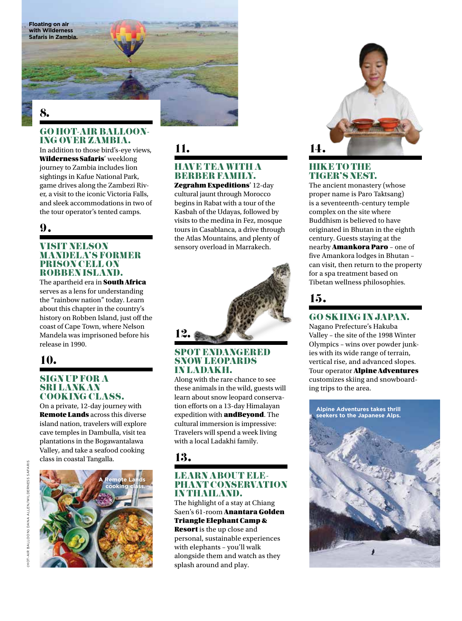**Floating on air with Wilderness Safaris in Zambia.** 

## GO HOT-AIR BALLOON- ING OVER ZAMBIA.

In addition to those bird's-eye views, Wilderness Safaris' weeklong journey to Zambia includes lion sightings in Kafue National Park, game drives along the Zambezi River, a visit to the iconic Victoria Falls, and sleek accommodations in two of the tour operator's tented camps.

#### 9.

#### VISIT NELSON MANDELA'S FORMER PRISON CELL ON ROBBEN ISLAND.

The apartheid era in **South Africa** serves as a lens for understanding the "rainbow nation" today. Learn about this chapter in the country's history on Robben Island, just off the coast of Cape Town, where Nelson Mandela was imprisoned before his release in 1990.

## 10.

#### SIGN UP FOR A SRI LANKAN COOKING CLASS.

On a private, 12-day journey with Remote Lands across this diverse island nation, travelers will explore cave temples in Dambulla, visit tea plantations in the Bogawantalawa Valley, and take a seafood cooking class in coastal Tangalla.





#### 11.

#### HAVE TEA WITH A BERBER FAMILY.

Zegrahm Expeditions' 12-day cultural jaunt through Morocco begins in Rabat with a tour of the Kasbah of the Udayas, followed by visits to the medina in Fez, mosque tours in Casablanca, a drive through the Atlas Mountains, and plenty of sensory overload in Marrakech.



#### SPOT ENDANGERED SNOW LEOPARDS IN LADAKH.

Along with the rare chance to see these animals in the wild, guests will learn about snow leopard conservation efforts on a 13-day Himalayan expedition with andBeyond. The cultural immersion is impressive: Travelers will spend a week living with a local Ladakhi family.

## 13.

## LEARN ABOUT ELE- PHANT CONSERVATION IN THAILAND.

The highlight of a stay at Chiang Saen's 61-room Anantara Golden Triangle Elephant Camp & Resort is the up close and

personal, sustainable experiences with elephants – you'll walk alongside them and watch as they splash around and play.



#### **HIKE TO THE** TIGER'S NEST.

The ancient monastery (whose proper name is Paro Taktsang) is a seventeenth-century temple complex on the site where Buddhism is believed to have originated in Bhutan in the eighth century. Guests staying at the nearby **Amankora Paro** - one of five Amankora lodges in Bhutan – can visit, then return to the property for a spa treatment based on Tibetan wellness philosophies.

## 15.

#### GO SKIING IN JAPAN.

Nagano Prefecture's Hakuba Valley – the site of the 1998 Winter Olympics – wins over powder junkies with its wide range of terrain, vertical rise, and advanced slopes. Tour operator **Alpine Adventures** customizes skiing and snowboarding trips to the area.

**Alpine Adventures takes thrill seekers to the Japanese Alps.**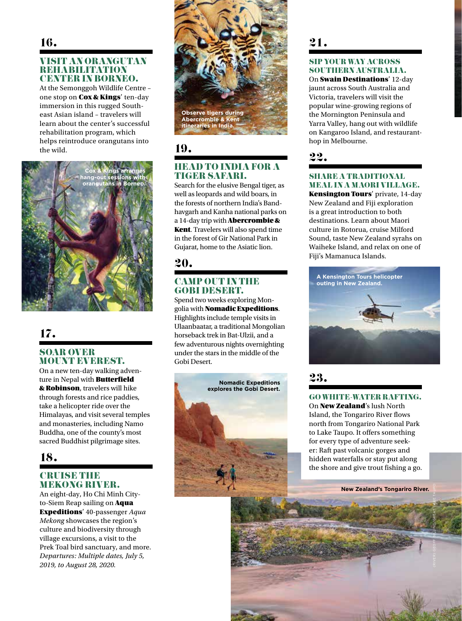#### VISIT AN ORANGUTAN REHABILITATION CENTER IN BORNEO.

At the Semonggoh Wildlife Centre – one stop on Cox & Kings' ten-day immersion in this rugged Southeast Asian island – travelers will learn about the center's successful rehabilitation program, which helps reintroduce orangutans into the wild.



## 17.

#### SOAR OVER MOUNT EVEREST.

On a new ten-day walking adventure in Nepal with **Butterfield** & Robinson, travelers will hike through forests and rice paddies, take a helicopter ride over the Himalayas, and visit several temples and monasteries, including Namo Buddha, one of the county's most sacred Buddhist pilgrimage sites.

## 18.

#### **CRUISE THE** MEKONG RIVER.

An eight-day, Ho Chi Minh Cityto-Siem Reap sailing on **Aqua** Expeditions' 40-passenger *Aqua Mekong* showcases the region's culture and biodiversity through village excursions, a visit to the Prek Toal bird sanctuary, and more. *Departures: Multiple dates, July 5, 2019, to August 28, 2020.*



19.

#### HEAD TO INDIA FOR A TIGER SAFARI.

Search for the elusive Bengal tiger, as well as leopards and wild boars, in the forests of northern India's Bandhavgarh and Kanha national parks on a 14-day trip with Abercrombie & Kent. Travelers will also spend time in the forest of Gir National Park in Gujarat, home to the Asiatic lion.

## 20.

#### CAMP OUT IN THE GOBI DESERT.

Spend two weeks exploring Mongolia with Nomadic Expeditions. Highlights include temple visits in Ulaanbaatar, a traditional Mongolian horseback trek in Bat-Ulzii, and a few adventurous nights overnighting under the stars in the middle of the Gobi Desert.



## 21.

#### SIP YOUR WAY ACROSS SOUTHERN AUSTRALIA.

On Swain Destinations' 12-day jaunt across South Australia and Victoria, travelers will visit the popular wine-growing regions of the Mornington Peninsula and Yarra Valley, hang out with wildlife on Kangaroo Island, and restauranthop in Melbourne.

22.

#### SHARE A TRADITIONAL MEAL IN A MAORI VILLAGE.

Kensington Tours' private, 14-day New Zealand and Fiji exploration is a great introduction to both destinations. Learn about Maori culture in Rotorua, cruise Milford Sound, taste New Zealand syrahs on Waiheke Island, and relax on one of Fiji's Mamanuca Islands.



23.

#### GO WHITE-WATER RAFTING.

On New Zealand's lush North Island, the Tongariro River flows north from Tongariro National Park to Lake Taupo. It offers something for every type of adventure seeker: Raft past volcanic gorges and hidden waterfalls or stay put along the shore and give trout fishing a go.

**New Zealand's Tongariro River.**

(RIVER) GEOFF BILLING/GREAT LAKE TAUPO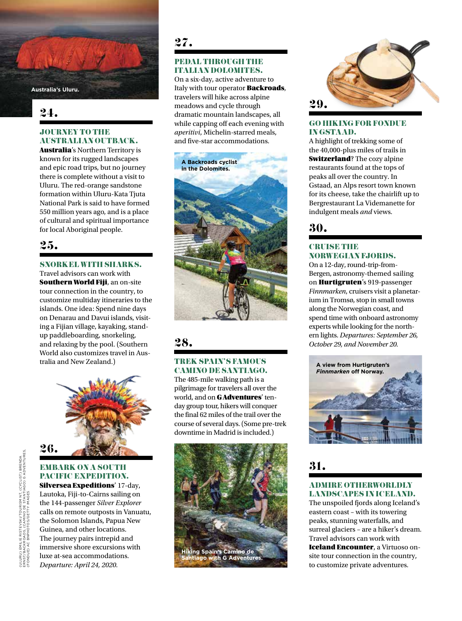**Australia's Uluru.**

## 24.

#### JOURNEY TO THE AUSTRALIAN OUTBACK.

Australia's Northern Territory is known for its rugged landscapes and epic road trips, but no journey there is complete without a visit to Uluru. The red-orange sandstone formation within Uluru-Kata Tjuta National Park is said to have formed 550 million years ago, and is a place of cultural and spiritual importance

## 25.

#### SNORKEL WITH SHARKS.

Travel advisors can work with **Southern World Fiji**, an on-site tour connection in the country, to customize multiday itineraries to the islands. One idea: Spend nine days on Denarau and Davui islands, visiting a Fijian village, kayaking, standup paddleboarding, snorkeling, and relaxing by the pool. (Southern World also customizes travel in Australia and New Zealand.)



#### EMBARK ON A SOUTH PACIFIC EXPEDITION. Silversea Expeditions' 17-day, Lautoka, Fiji-to-Cairns sailing on the 144-passenger *Silver Explorer* calls on remote outposts in Vanuatu, the Solomon Islands, Papua New Guinea, and other locations. The journey pairs intrepid and immersive shore excursions with luxe at-sea accommodations.

*Departure: April 24, 2020.*

## 27.

#### PEDAL THROUGH THE ITALIAN DOLOMITES.

On a six-day, active adventure to Italy with tour operator **Backroads**, travelers will hike across alpine meadows and cycle through dramatic mountain landscapes, all while capping off each evening with *aperitivi*, Michelin-starred meals, and five-star accommodations.



## 28.

#### TREK SPAIN'S FAMOUS CAMINO DE SANTIAGO.

The 485-mile walking path is a pilgrimage for travelers all over the world, and on **GAdventures'** tenday group tour, hikers will conquer the final 62 miles of the trail over the course of several days. (Some pre-trek downtime in Madrid is included.)





#### GO HIKING FOR FONDUE IN GSTAAD.

A highlight of trekking some of the 40,000-plus miles of trails in **Switzerland?** The cozy alpine restaurants found at the tops of peaks all over the country. In Gstaad, an Alps resort town known for its cheese, take the chairlift up to Bergrestaurant La Videmanette for indulgent meals *and* views.

#### **CRUISE THE** NORWEGIAN FJORDS.

On a 12-day, round-trip-from-Bergen, astronomy-themed sailing on Hurtigruten's 919-passenger *Finnmarken*, cruisers visit a planetarium in Tromsø, stop in small towns along the Norwegian coast, and spend time with onboard astronomy experts while looking for the northern lights. *Departures: September 26, October 29, and November 20.*



31.

#### ADMIRE OTHERWORLDLY LANDSCAPES IN ICELAND.

The unspoiled fjords along Iceland's eastern coast – with its towering peaks, stunning waterfalls, and surreal glaciers – are a hiker's dream. Travel advisors can work with Iceland Encounter, a Virtuoso onsite tour connection in the country, to customize private adventures.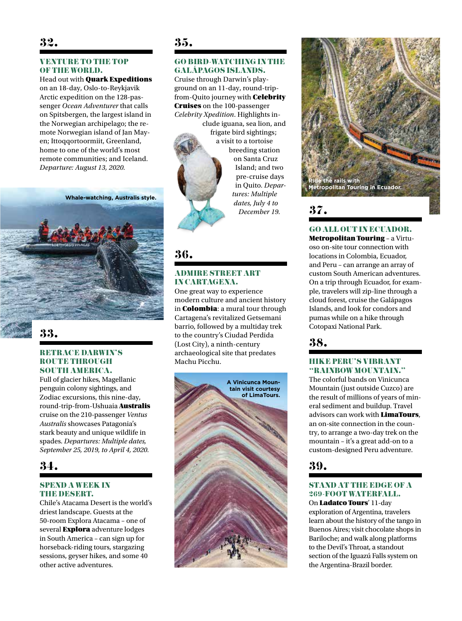## 32.

#### VENTURE TO THE TOP OF THE WORLD.

Head out with **Quark Expeditions** on an 18-day, Oslo-to-Reykjavik Arctic expedition on the 128-passenger *Ocean Adventurer* that calls on Spitsbergen, the largest island in the Norwegian archipelago; the remote Norwegian island of Jan Mayen; Ittoqqortoormiit, Greenland, home to one of the world's most remote communities; and Iceland. *Departure: August 13, 2020.*

**Whale-watching, Australis style.**



## 33.

#### RETRACE DARWIN'S **ROUTE THROUGH** SOUTH AMERICA.

Full of glacier hikes, Magellanic penguin colony sightings, and Zodiac excursions, this nine-day, round-trip-from-Ushuaia Australis cruise on the 210-passenger *Ventus Australis* showcases Patagonia's stark beauty and unique wildlife in spades. *Departures: Multiple dates, September 25, 2019, to April 4, 2020.*

## 34.

#### **SPEND A WEEK IN** THE DESERT.

Chile's Atacama Desert is the world's driest landscape. Guests at the 50-room Explora Atacama – one of several **Explora** adventure lodges in South America – can sign up for horseback-riding tours, stargazing sessions, geyser hikes, and some 40 other active adventures.

## 35.

#### GO BIRD-WATCHING IN THE GALÁPAGOS ISLANDS.

Cruise through Darwin's playground on an 11-day, round-tripfrom-Quito journey with Celebrity Cruises on the 100-passenger *Celebrity Xpedition*. Highlights in-

clude iguana, sea lion, and frigate bird sightings; a visit to a tortoise breeding station on Santa Cruz Island; and two pre-cruise days in Quito. *Departures: Multiple dates, July 4 to December 19.*

## 36.

#### **ADMIRE STREET ART** IN CARTAGENA.

One great way to experience modern culture and ancient history in Colombia: a mural tour through Cartagena's revitalized Getsemani barrio, followed by a multiday trek to the country's Ciudad Perdida (Lost City), a ninth-century archaeological site that predates Machu Picchu.





## 37.

GO ALL OUT IN ECUADOR.

Metropolitan Touring – a Virtuoso on-site tour connection with locations in Colombia, Ecuador, and Peru – can arrange an array of custom South American adventures. On a trip through Ecuador, for example, travelers will zip-line through a cloud forest, cruise the Galápagos Islands, and look for condors and pumas while on a hike through Cotopaxi National Park.

## 38.

#### HIKE PERU'S VIBRANT "RAINBOW MOUNTAIN."

The colorful bands on Vinicunca Mountain (just outside Cuzco) are the result of millions of years of mineral sediment and buildup. Travel advisors can work with LimaTours, an on-site connection in the country, to arrange a two-day trek on the mountain – it's a great add-on to a custom-designed Peru adventure.

39.

#### STAND AT THE EDGE OF A 269-FOOT WATERFALL.

On Ladatco Tours' 11-day exploration of Argentina, travelers learn about the history of the tango in Buenos Aires; visit chocolate shops in Bariloche; and walk along platforms to the Devil's Throat, a standout section of the Iguazú Falls system on the Argentina-Brazil border.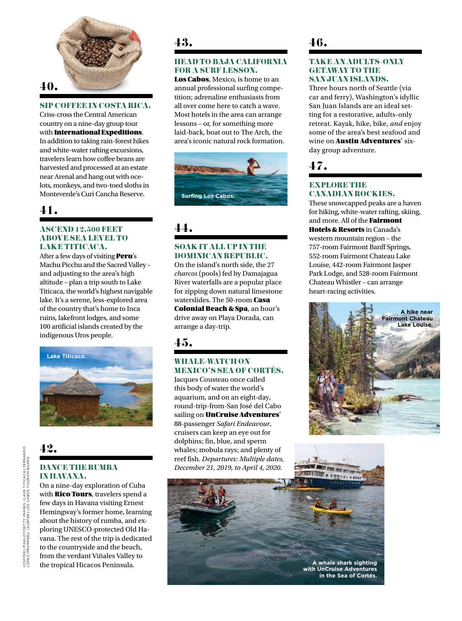

#### SIP COFFEE IN COSTA RICA.

Criss-cross the Central American country on a nine-day group tour with International Expeditions. In addition to taking rain-forest hikes and white-water rafting excursions, travelers learn how coffee beans are harvested and processed at an estate near Arenal and hang out with ocelots, monkeys, and two-toed sloths in Monteverde's Curi Cancha Reserve.

## 41.

#### **ASCEND 12,500 FEET** ABOVE SEA LEWELTO LAKE TITICACA.

After a few days of visiting **Peru**'s Machu Picchu and the Sacred Valley – and adjusting to the area's high altitude – plan a trip south to Lake Titicaca, the world's highest navigable lake. It's a serene, less-explored area of the country that's home to Inca ruins, lakefront lodges, and some 100 artificial islands created by the indigenous Uros people.



## 42.

#### DANCE THE RUMBA IN HAVANA.

On a nine-day exploration of Cuba with **Rico Tours**, travelers spend a few days in Havana visiting Ernest Hemingway's former home, learning about the history of rumba, and exploring UNESCO-protected Old Havana. The rest of the trip is dedicated to the countryside and the beach, from the verdant Viñales Valley to the tropical Hicacos Peninsula.

## 43.

#### HEAD TO BAJA CALIFORNIA FOR A SURF LESSON.

Los Cabos, Mexico, is home to an annual professional surfing competition; adrenaline enthusiasts from all over come here to catch a wave. Most hotels in the area can arrange lessons – or, for something more laid-back, boat out to The Arch, the area's iconic natural rock formation.



## 44.

#### SOAK IT ALL UP IN THE DOMINICAN REPUBLIC.

On the island's north side, the 27 *charcos* (pools) fed by Damajagua River waterfalls are a popular place for zipping down natural limestone waterslides. The 50-room Casa Colonial Beach & Spa, an hour's drive away on Playa Dorada, can arrange a day-trip.

## 45.

#### WHALE-WATCH ON MEXICO'S SEA OF CORTÉS.

Jacques Cousteau once called this body of water the world's aquarium, and on an eight-day, round-trip-from-San José del Cabo sailing on **UnCruise Adventures'** 88-passenger *Safari Endeavour*, cruisers can keep an eye out for dolphins; fin, blue, and sperm whales; mobula rays; and plenty of reef fish. *Departures: Multiple dates, December 21, 2019, to April 4, 2020.* 

## 46.

#### TAKE AN ADULTS-ONLY **GETAWAY TO THE** SAN JUAN ISLANDS.

Three hours north of Seattle (via car and ferry), Washington's idyllic San Juan Islands are an ideal setting for a restorative, adults-only retreat. Kayak, hike, bike, *and* enjoy some of the area's best seafood and wine on Austin Adventures' sixday group adventure.

## 47.

#### **EXPLORE THE** CANADIAN ROCKIES.

These snowcapped peaks are a haven for hiking, white-water rafting, skiing, and more. All of the Fairmont Hotels & Resorts in Canada's western mountain region – the 757-room Fairmont Banff Springs, 552-room Fairmont Chateau Lake Louise, 442-room Fairmont Jasper Park Lodge, and 528-room Fairmont Chateau Whistler – can arrange heart-racing activities.





**in the Sea of Cortés.**